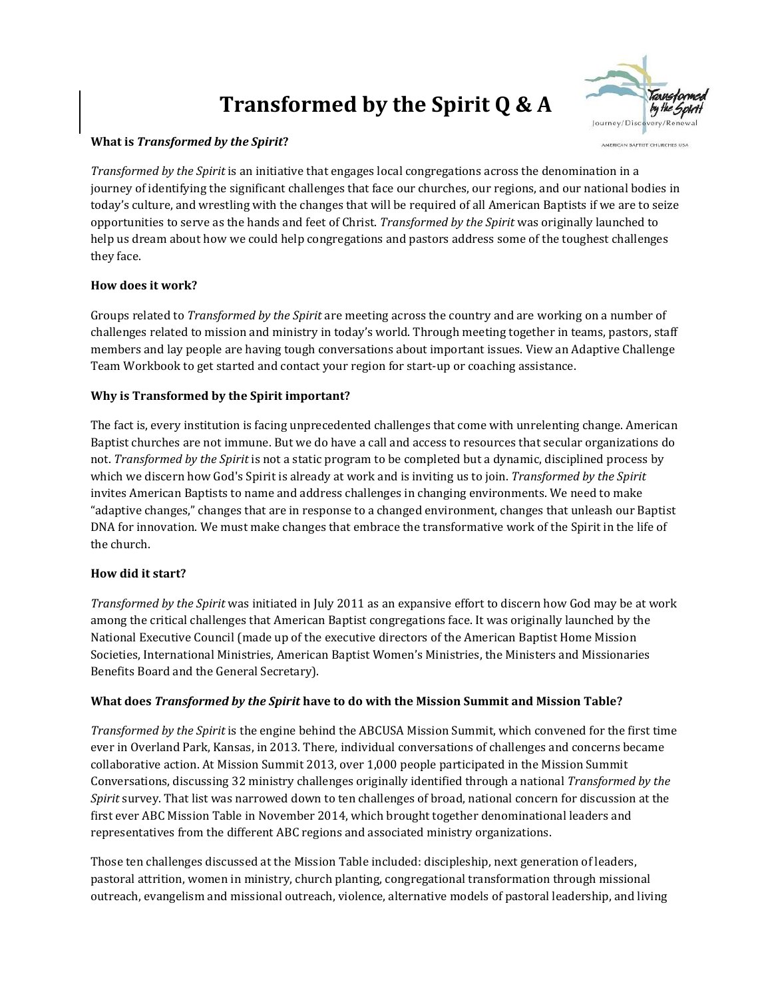# **Transformed by the Spirit Q & A**



#### **What is** *Transformed by the Spirit***?**

*Transformed by the Spirit* is an initiative that engages local congregations across the denomination in a journey of identifying the significant challenges that face our churches, our regions, and our national bodies in today's culture, and wrestling with the changes that will be required of all American Baptists if we are to seize opportunities to serve as the hands and feet of Christ. *Transformed by the Spirit* was originally launched to help us dream about how we could help congregations and pastors address some of the toughest challenges they face.

## **How does it work?**

Groups related to *Transformed by the Spirit* are meeting across the country and are working on a number of challenges related to mission and ministry in today's world. Through meeting together in teams, pastors, staff members and lay people are having tough conversations about important issues. View an Adaptive Challenge Team Workbook to get started and contact your region for start-up or coaching assistance.

## **Why is Transformed by the Spirit important?**

The fact is, every institution is facing unprecedented challenges that come with unrelenting change. American Baptist churches are not immune. But we do have a call and access to resources that secular organizations do not. *Transformed by the Spirit* is not a static program to be completed but a dynamic, disciplined process by which we discern how God's Spirit is already at work and is inviting us to join. *Transformed by the Spirit*  invites American Baptists to name and address challenges in changing environments. We need to make "adaptive changes," changes that are in response to a changed environment, changes that unleash our Baptist DNA for innovation. We must make changes that embrace the transformative work of the Spirit in the life of the church.

#### **How did it start?**

*Transformed by the Spirit* was initiated in July 2011 as an expansive effort to discern how God may be at work among the critical challenges that American Baptist congregations face. It was originally launched by the National Executive Council (made up of the executive directors of the American Baptist Home Mission Societies, International Ministries, American Baptist Women's Ministries, the Ministers and Missionaries Benefits Board and the General Secretary).

#### **What does** *Transformed by the Spirit* **have to do with the Mission Summit and Mission Table?**

*Transformed by the Spirit* is the engine behind the ABCUSA Mission Summit, which convened for the first time ever in Overland Park, Kansas, in 2013. There, individual conversations of challenges and concerns became collaborative action. At Mission Summit 2013, over 1,000 people participated in the Mission Summit Conversations, discussing 32 ministry challenges originally identified through a national *Transformed by the Spirit* survey. That list was narrowed down to ten challenges of broad, national concern for discussion at the first ever ABC Mission Table in November 2014, which brought together denominational leaders and representatives from the different ABC regions and associated ministry organizations.

Those ten challenges discussed at the Mission Table included: discipleship, next generation of leaders, pastoral attrition, women in ministry, church planting, congregational transformation through missional outreach, evangelism and missional outreach, violence, alternative models of pastoral leadership, and living